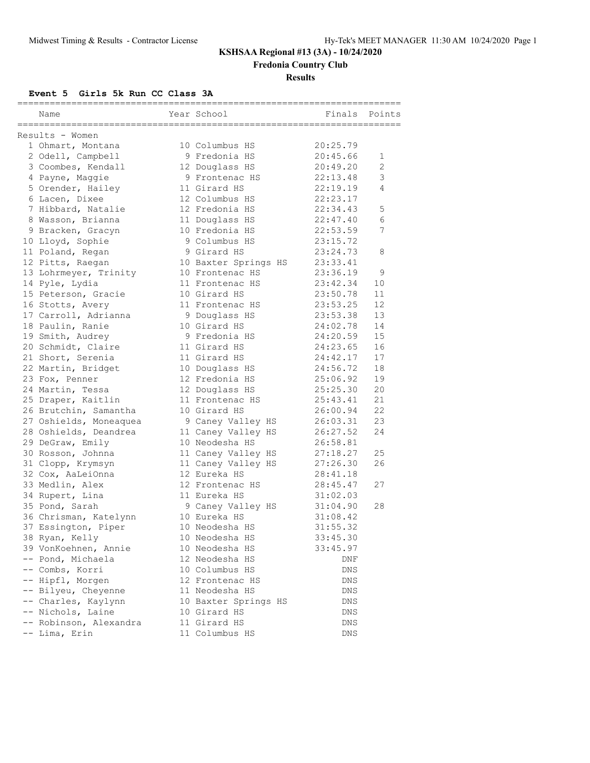# **KSHSAA Regional #13 (3A) - 10/24/2020**

**Fredonia Country Club**

### **Results**

**Event 5 Girls 5k Run CC Class 3A**

| ====================== |                                      |  |                                    |                      |                |  |  |  |  |
|------------------------|--------------------------------------|--|------------------------------------|----------------------|----------------|--|--|--|--|
|                        | Name                                 |  | Year School                        | Finals               | Points         |  |  |  |  |
|                        | ___________________________________  |  |                                    |                      |                |  |  |  |  |
|                        | Results - Women<br>1 Ohmart, Montana |  | 10 Columbus HS                     | 20:25.79             |                |  |  |  |  |
|                        | 2 Odell, Campbell                    |  | 9 Fredonia HS                      | 20:45.66             | 1              |  |  |  |  |
|                        | 3 Coombes, Kendall                   |  |                                    | 20:49.20             | $\mathfrak{D}$ |  |  |  |  |
|                        |                                      |  | 12 Douglass HS<br>9 Frontenac HS   | 22:13.48             | 3              |  |  |  |  |
|                        | 4 Payne, Maggie                      |  | 11 Girard HS                       | 22:19.19             | 4              |  |  |  |  |
|                        | 5 Orender, Hailey                    |  | 12 Columbus HS                     |                      |                |  |  |  |  |
|                        | 6 Lacen, Dixee<br>7 Hibbard, Natalie |  | 12 Fredonia HS                     | 22:23.17<br>22:34.43 | $\mathsf S$    |  |  |  |  |
|                        | 8 Wasson, Brianna                    |  | 11 Douglass HS                     | 22:47.40             | 6              |  |  |  |  |
|                        | 9 Bracken, Gracyn                    |  | 10 Fredonia HS                     | 22:53.59             | 7              |  |  |  |  |
|                        |                                      |  | 9 Columbus HS                      | 23:15.72             |                |  |  |  |  |
|                        | 10 Lloyd, Sophie<br>11 Poland, Regan |  | 9 Girard HS                        | 23:24.73             | 8              |  |  |  |  |
|                        |                                      |  |                                    |                      |                |  |  |  |  |
|                        | 12 Pitts, Raegan                     |  | 10 Baxter Springs HS               | 23:33.41             | 9              |  |  |  |  |
|                        | 13 Lohrmeyer, Trinity                |  | 10 Frontenac HS<br>11 Frontenac HS | 23:36.19             | 10             |  |  |  |  |
|                        | 14 Pyle, Lydia                       |  |                                    | 23:42.34             | 11             |  |  |  |  |
|                        | 15 Peterson, Gracie                  |  | 10 Girard HS                       | 23:50.78<br>23:53.25 | 12             |  |  |  |  |
|                        | 16 Stotts, Avery                     |  | 11 Frontenac HS                    |                      | 13             |  |  |  |  |
|                        | 17 Carroll, Adrianna                 |  | 9 Douglass HS<br>10 Girard HS      | 23:53.38             | 14             |  |  |  |  |
|                        | 18 Paulin, Ranie                     |  | 9 Fredonia HS                      | 24:02.78             | 15             |  |  |  |  |
|                        | 19 Smith, Audrey                     |  |                                    | 24:20.59             | 16             |  |  |  |  |
|                        | 20 Schmidt, Claire                   |  | 11 Girard HS                       | 24:23.65             |                |  |  |  |  |
|                        | 21 Short, Serenia                    |  | 11 Girard HS                       | 24:42.17             | 17             |  |  |  |  |
|                        | 22 Martin, Bridget                   |  | 10 Douglass HS                     | 24:56.72             | 18             |  |  |  |  |
|                        | 23 Fox, Penner                       |  | 12 Fredonia HS                     | 25:06.92             | 19             |  |  |  |  |
|                        | 24 Martin, Tessa                     |  | 12 Douglass HS                     | 25:25.30             | 20             |  |  |  |  |
|                        | 25 Draper, Kaitlin                   |  | 11 Frontenac HS                    | 25:43.41             | 21<br>22       |  |  |  |  |
|                        | 26 Brutchin, Samantha                |  | 10 Girard HS                       | 26:00.94             |                |  |  |  |  |
|                        | 27 Oshields, Moneaquea               |  | 9 Caney Valley HS                  | 26:03.31             | 23             |  |  |  |  |
|                        | 28 Oshields, Deandrea                |  | 11 Caney Valley HS                 | 26:27.52             | 24             |  |  |  |  |
|                        | 29 DeGraw, Emily                     |  | 10 Neodesha HS                     | 26:58.81             |                |  |  |  |  |
|                        | 30 Rosson, Johnna                    |  | 11 Caney Valley HS                 | 27:18.27             | 25             |  |  |  |  |
|                        | 31 Clopp, Krymsyn                    |  | 11 Caney Valley HS                 | 27:26.30             | 26             |  |  |  |  |
|                        | 32 Cox, AaLeiOnna                    |  | 12 Eureka HS                       | 28:41.18             |                |  |  |  |  |
|                        | 33 Medlin, Alex                      |  | 12 Frontenac HS                    | 28:45.47             | 27             |  |  |  |  |
|                        | 34 Rupert, Lina                      |  | 11 Eureka HS                       | 31:02.03             |                |  |  |  |  |
|                        | 35 Pond, Sarah                       |  | 9 Caney Valley HS                  | 31:04.90             | 28             |  |  |  |  |
|                        | 36 Chrisman, Katelynn                |  | 10 Eureka HS                       | 31:08.42             |                |  |  |  |  |
|                        | 37 Essington, Piper                  |  | 10 Neodesha HS                     | 31:55.32             |                |  |  |  |  |
|                        | 38 Ryan, Kelly                       |  | 10 Neodesha HS                     | 33:45.30             |                |  |  |  |  |
|                        | 39 VonKoehnen, Annie                 |  | 10 Neodesha HS                     | 33:45.97             |                |  |  |  |  |
|                        | -- Pond, Michaela                    |  | 12 Neodesha HS                     | DNF                  |                |  |  |  |  |
|                        | -- Combs, Korri                      |  | 10 Columbus HS                     | DNS                  |                |  |  |  |  |
|                        | -- Hipfl, Morgen                     |  | 12 Frontenac HS                    | DNS                  |                |  |  |  |  |
|                        | -- Bilyeu, Cheyenne                  |  | 11 Neodesha HS                     | DNS                  |                |  |  |  |  |
|                        | -- Charles, Kaylynn                  |  | 10 Baxter Springs HS               | DNS                  |                |  |  |  |  |
|                        | -- Nichols, Laine                    |  | 10 Girard HS                       | DNS                  |                |  |  |  |  |
|                        | -- Robinson, Alexandra               |  | 11 Girard HS                       | DNS                  |                |  |  |  |  |
|                        | -- Lima, Erin                        |  | 11 Columbus HS                     | DNS                  |                |  |  |  |  |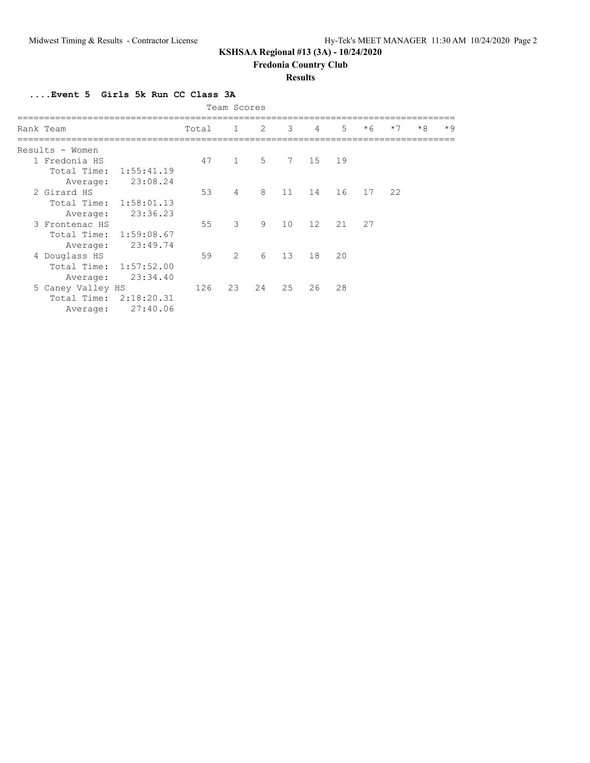## **KSHSAA Regional #13 (3A) - 10/24/2020**

**Fredonia Country Club**

#### **Results**

**....Event 5 Girls 5k Run CC Class 3A**

| Team Scores |                   |            |       |                |                |    |                |    |      |      |      |      |
|-------------|-------------------|------------|-------|----------------|----------------|----|----------------|----|------|------|------|------|
|             | Rank Team         |            | Total | $\overline{1}$ | $\overline{2}$ | 3  | $\overline{4}$ | 5  | $*6$ | $*7$ | $*8$ | $*9$ |
|             | Results - Women   |            |       |                |                |    |                |    |      |      |      |      |
|             | 1 Fredonia HS     |            | 47    | $\mathbf{1}$   | 5              | 7  | 15             | 19 |      |      |      |      |
|             | Total Time:       | 1:55:41.19 |       |                |                |    |                |    |      |      |      |      |
|             | Average:          | 23:08.24   |       |                |                |    |                |    |      |      |      |      |
|             | 2 Girard HS       |            | 53    | $\overline{4}$ | 8              | 11 | 14             | 16 | 17   | 22   |      |      |
|             | Total Time:       | 1:58:01.13 |       |                |                |    |                |    |      |      |      |      |
|             | Average:          | 23:36.23   |       |                |                |    |                |    |      |      |      |      |
|             | 3 Frontenac HS    |            | 55    | 3              | 9              | 10 | 12             | 21 | 27   |      |      |      |
|             | Total Time:       | 1:59:08.67 |       |                |                |    |                |    |      |      |      |      |
|             | Average:          | 23:49.74   |       |                |                |    |                |    |      |      |      |      |
|             | 4 Douglass HS     |            | 59    | $\overline{2}$ | 6              | 13 | 18             | 20 |      |      |      |      |
|             | Total Time:       | 1:57:52.00 |       |                |                |    |                |    |      |      |      |      |
|             | Average:          | 23:34.40   |       |                |                |    |                |    |      |      |      |      |
|             | 5 Caney Valley HS |            | 126   | 23             | 24             | 25 | 26             | 28 |      |      |      |      |
|             | Total Time:       | 2:18:20.31 |       |                |                |    |                |    |      |      |      |      |
|             | Average:          | 27:40.06   |       |                |                |    |                |    |      |      |      |      |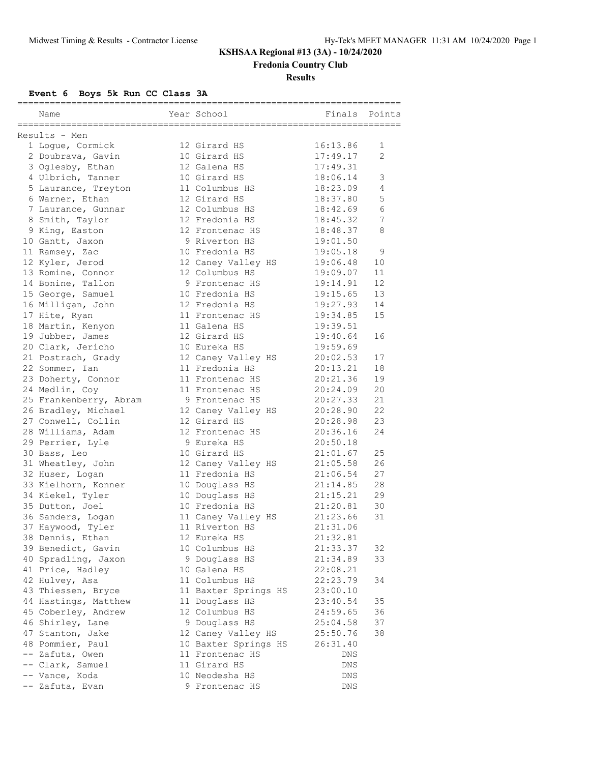# **KSHSAA Regional #13 (3A) - 10/24/2020**

**Fredonia Country Club**

**Results**

**Event 6 Boys 5k Run CC Class 3A**

| Name                                                 | Year School                          | .________________________<br>Finals | -------<br>Points |
|------------------------------------------------------|--------------------------------------|-------------------------------------|-------------------|
| ===================================<br>Results - Men | =======================              |                                     |                   |
| 1 Loque, Cormick                                     | 12 Girard HS                         | 16:13.86                            | 1                 |
| 2 Doubrava, Gavin                                    | 10 Girard HS                         | 17:49.17                            | $\overline{2}$    |
| 3 Oglesby, Ethan                                     | 12 Galena HS                         | 17:49.31                            |                   |
| 4 Ulbrich, Tanner                                    | 10 Girard HS                         | 18:06.14                            | 3                 |
| 5 Laurance, Treyton                                  | 11 Columbus HS                       | 18:23.09                            | 4                 |
| 6 Warner, Ethan                                      | 12 Girard HS                         | 18:37.80                            | 5                 |
| 7 Laurance, Gunnar                                   | 12 Columbus HS                       | 18:42.69                            | 6                 |
| 8 Smith, Taylor                                      | 12 Fredonia HS                       | 18:45.32                            | 7                 |
| 9 King, Easton                                       | 12 Frontenac HS                      | 18:48.37                            | 8                 |
| 10 Gantt, Jaxon                                      | 9 Riverton HS                        | 19:01.50                            |                   |
| 11 Ramsey, Zac                                       | 10 Fredonia HS                       | 19:05.18                            | 9                 |
| 12 Kyler, Jerod                                      | 12 Caney Valley HS                   | 19:06.48                            | 10                |
| 13 Romine, Connor                                    | 12 Columbus HS                       | 19:09.07                            | 11                |
| 14 Bonine, Tallon                                    | 9 Frontenac HS                       | 19:14.91                            | 12                |
| 15 George, Samuel                                    | 10 Fredonia HS                       | 19:15.65                            | 13                |
| 16 Milligan, John                                    | 12 Fredonia HS                       | 19:27.93                            | 14                |
| 17 Hite, Ryan                                        | 11 Frontenac HS                      | 19:34.85                            | 15                |
| 18 Martin, Kenyon                                    | 11 Galena HS                         | 19:39.51                            |                   |
| 19 Jubber, James                                     | 12 Girard HS                         | 19:40.64                            | 16                |
| 20 Clark, Jericho                                    | 10 Eureka HS                         | 19:59.69                            |                   |
| 21 Postrach, Grady                                   | 12 Caney Valley HS                   | 20:02.53                            | 17                |
| 22 Sommer, Ian                                       | 11 Fredonia HS                       | 20:13.21                            | 18                |
| 23 Doherty, Connor                                   | 11 Frontenac HS                      | 20:21.36                            | 19                |
| 24 Medlin, Coy                                       | 11 Frontenac HS                      | 20:24.09                            | 20                |
| 25 Frankenberry, Abram                               | 9 Frontenac HS                       | 20:27.33                            | 21                |
| 26 Bradley, Michael                                  | 12 Caney Valley HS                   | 20:28.90                            | 22                |
| 27 Conwell, Collin                                   | 12 Girard HS                         | 20:28.98                            | 23                |
| 28 Williams, Adam                                    | 12 Frontenac HS                      | 20:36.16                            | 24                |
|                                                      | 9 Eureka HS                          | 20:50.18                            |                   |
| 29 Perrier, Lyle                                     |                                      |                                     | 25                |
| 30 Bass, Leo                                         | 10 Girard HS                         | 21:01.67                            | 26                |
| 31 Wheatley, John                                    | 12 Caney Valley HS<br>11 Fredonia HS | 21:05.58<br>21:06.54                | 27                |
| 32 Huser, Logan                                      |                                      |                                     |                   |
| 33 Kielhorn, Konner                                  | 10 Douglass HS                       | 21:14.85                            | 28                |
| 34 Kiekel, Tyler                                     | 10 Douglass HS                       | 21:15.21                            | 29                |
| 35 Dutton, Joel                                      | 10 Fredonia HS                       | 21:20.81                            | 30                |
| 36 Sanders, Logan                                    | 11 Caney Valley HS                   | 21:23.66                            | 31                |
| 37 Haywood, Tyler                                    | 11 Riverton HS                       | 21:31.06                            |                   |
| 38 Dennis, Ethan                                     | 12 Eureka HS                         | 21:32.81                            |                   |
| 39 Benedict, Gavin                                   | 10 Columbus HS                       | 21:33.37                            | 32                |
| 40 Spradling, Jaxon                                  | 9 Douglass HS                        | 21:34.89                            | 33                |
| 41 Price, Hadley                                     | 10 Galena HS                         | 22:08.21                            |                   |
| 42 Hulvey, Asa                                       | 11 Columbus HS                       | 22:23.79                            | 34                |
| 43 Thiessen, Bryce                                   | 11 Baxter Springs HS                 | 23:00.10                            |                   |
| 44 Hastings, Matthew                                 | 11 Douglass HS                       | 23:40.54                            | 35                |
| 45 Coberley, Andrew                                  | 12 Columbus HS                       | 24:59.65                            | 36                |
| 46 Shirley, Lane                                     | 9 Douglass HS                        | 25:04.58                            | 37                |
| 47 Stanton, Jake                                     | 12 Caney Valley HS                   | 25:50.76                            | 38                |
| 48 Pommier, Paul                                     | 10 Baxter Springs HS                 | 26:31.40                            |                   |
| -- Zafuta, Owen                                      | 11 Frontenac HS                      | DNS                                 |                   |
| -- Clark, Samuel                                     | 11 Girard HS                         | DNS                                 |                   |
| -- Vance, Koda                                       | 10 Neodesha HS                       | DNS                                 |                   |
| -- Zafuta, Evan                                      | 9 Frontenac HS                       | DNS                                 |                   |